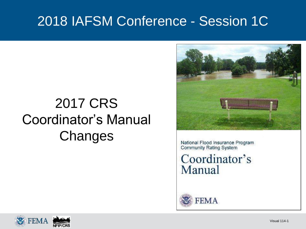### 2018 IAFSM Conference - Session 1C

## 2017 CRS Coordinator's Manual **Changes**



National Flood Insurance Program **Community Rating System** 

Coordinator's Manual



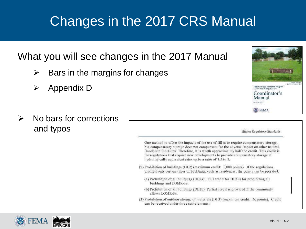#### What you will see changes in the 2017 Manual

- $\triangleright$  Bars in the margins for changes
- $\triangleright$  Appendix D
- $\triangleright$  No bars for corrections and typos



Higher Regulatory Standards

One method to offset the impacts of the use of fill is to require compensatory storage. but compensatory storage does not compensate for the adverse impact on other natural floodplain functions. Therefore, it is worth approximately half the credit. This credit is for regulations that require new developments to provide compensatory storage at hydrologically equivalent sites up to a ratio of 1.5 to 1.

- (2) Prohibition of huildings (DL2) (maximum credit: 1,000 points). If the regulations prohibit only certain types of buildings, such as residences, the points can be prorated.
	- (a) Prohibition of all buildings (DL2a): Full credit for DL2 is for prohibiting all buildings and LOMR-Fs.
	- (b) Prohibition of all buildings (DL2b): Partial credit is provided if the community allows LOMR-Fs.
- (3) Prohibition of outdoor storage of materials (DL3) (maximum credit: 50 points). Credit can be received under three sub-elements:

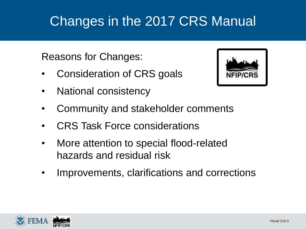Reasons for Changes:

- Consideration of CRS goals
- National consistency



- Community and stakeholder comments
- CRS Task Force considerations
- More attention to special flood-related hazards and residual risk
- Improvements, clarifications and corrections

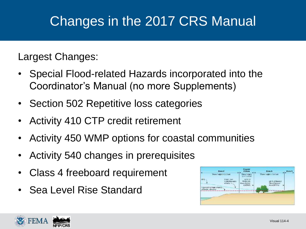Largest Changes:

- Special Flood-related Hazards incorporated into the Coordinator's Manual (no more Supplements)
- Section 502 Repetitive loss categories
- Activity 410 CTP credit retirement
- Activity 450 WMP options for coastal communities
- Activity 540 changes in prerequisites
- Class 4 freeboard requirement
- Sea Level Rise Standard



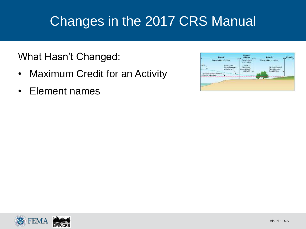What Hasn't Changed:

- Maximum Credit for an Activity
- Element names



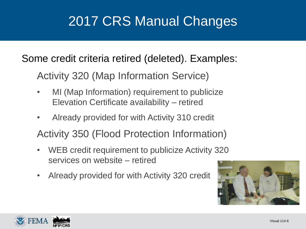# 2017 CRS Manual Changes

Some credit criteria retired (deleted). Examples:

Activity 320 (Map Information Service)

- MI (Map Information) requirement to publicize Elevation Certificate availability – retired
- Already provided for with Activity 310 credit

Activity 350 (Flood Protection Information)

- WEB credit requirement to publicize Activity 320 services on website – retired
- Already provided for with Activity 320 credit



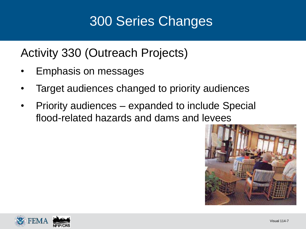# 300 Series Changes

Activity 330 (Outreach Projects)

- Emphasis on messages
- Target audiences changed to priority audiences
- Priority audiences expanded to include Special flood-related hazards and dams and levees



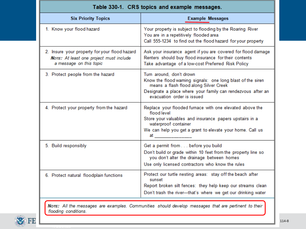| Table 330-1. CRS topics and example messages.                                                                       |                                                                                                                                                                                                                                                                                                                                                                                                                                                           |  |  |
|---------------------------------------------------------------------------------------------------------------------|-----------------------------------------------------------------------------------------------------------------------------------------------------------------------------------------------------------------------------------------------------------------------------------------------------------------------------------------------------------------------------------------------------------------------------------------------------------|--|--|
| <b>Six Priority Topics</b>                                                                                          | <b>Example Messages</b>                                                                                                                                                                                                                                                                                                                                                                                                                                   |  |  |
| 1. Know your flood hazard                                                                                           | Your property is subject to flooding by the Roaring River<br>You are in a repetitively flooded area<br>Call 555-1234 to find out the flood hazard for your property                                                                                                                                                                                                                                                                                       |  |  |
| 2. Insure your property for your flood hazard<br>Note: At least one project must include<br>a message on this topic | Ask your insurance agent if you are covered for flood damage<br>Renters should buy flood insurance for their contents<br>Take advantage of a low-cost Preferred Risk Policy                                                                                                                                                                                                                                                                               |  |  |
| 3. Protect people from the hazard                                                                                   | Turn around, don't drown<br>Know the flood warning signals: one long blast of the siren<br>means a flash flood along Silver Creek<br>Designate a place where your family can rendezvous after an<br>evacuation order is issued                                                                                                                                                                                                                            |  |  |
| 4. Protect your property from the hazard                                                                            | Replace your flooded furnace with one elevated above the<br>flood level<br>Store your valuables and insurance papers upstairs in a<br>waterproof container<br>We can help you get a grant to elevate your home. Call us<br>at the contract of the contract of the contract of the contract of the contract of the contract of the contract of the contract of the contract of the contract of the contract of the contract of the contract of the contrac |  |  |
| 5. Build responsibly                                                                                                | Get a permit from before you build<br>Don't build or grade within 10 feet from the property line so<br>you don't alter the drainage between homes<br>Use only licensed contractors who know the rules                                                                                                                                                                                                                                                     |  |  |
| 6. Protect natural floodplain functions                                                                             | Protect our turtle nesting areas: stay off the beach after<br>sunset<br>Report broken silt fences: they help keep our streams clean<br>Don't trash the river---that's where we get our drinking water                                                                                                                                                                                                                                                     |  |  |
| flooding conditions.                                                                                                | Nore: All the messages are examples. Communities should develop messages that are pertinent to their                                                                                                                                                                                                                                                                                                                                                      |  |  |

Visual 320.8

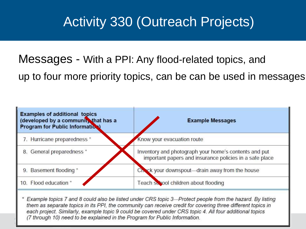## Activity 330 (Outreach Projects)

Messages - With a PPI: Any flood-related topics, and up to four more priority topics, can be can be used in messages



Example topics 7 and 8 could also be listed under CRS topic 3—Protect people from the hazard. By listing them as separate topics in its PPI, the community can receive credit for covering three different topics in each project. Similarly, example topic 9 could be covered under CRS topic 4. All four additional topics (7 through 10) need to be explained in the Program for Public Information. Visual 114-9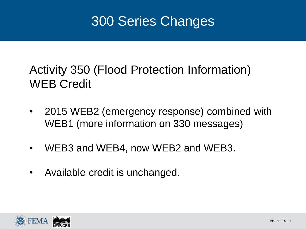### 300 Series Changes

### Activity 350 (Flood Protection Information) WEB Credit

- 2015 WEB2 (emergency response) combined with WEB1 (more information on 330 messages)
- WEB3 and WEB4, now WEB2 and WEB3.
- Available credit is unchanged.

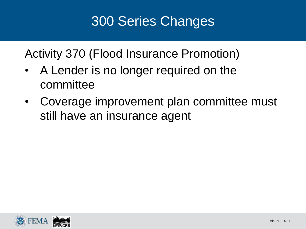## 300 Series Changes

Activity 370 (Flood Insurance Promotion)

- A Lender is no longer required on the committee
- Coverage improvement plan committee must still have an insurance agent

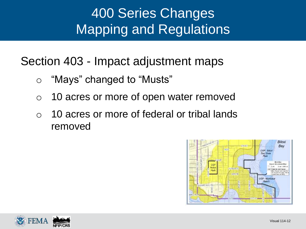# 400 Series Changes Mapping and Regulations

Section 403 - Impact adjustment maps

- o "Mays" changed to "Musts"
- o 10 acres or more of open water removed
- o 10 acres or more of federal or tribal lands removed



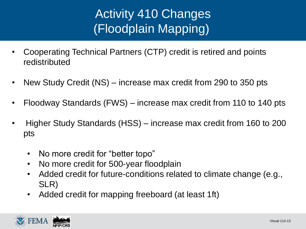### Activity 410 Changes (Floodplain Mapping)

- Cooperating Technical Partners (CTP) credit is retired and points redistributed
- New Study Credit (NS) increase max credit from 290 to 350 pts
- Floodway Standards (FWS) increase max credit from 110 to 140 pts
- Higher Study Standards (HSS) increase max credit from 160 to 200 pts
	- No more credit for "better topo"
	- No more credit for 500-year floodplain
	- Added credit for future-conditions related to climate change (e.g., SLR)
	- Added credit for mapping freeboard (at least 1ft)

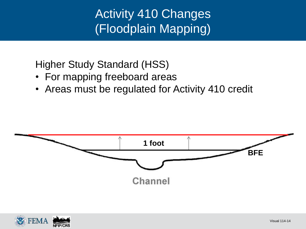Activity 410 Changes (Floodplain Mapping)

Higher Study Standard (HSS)

- For mapping freeboard areas
- Areas must be regulated for Activity 410 credit



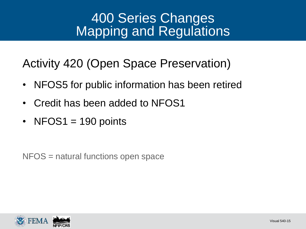### 400 Series Changes Mapping and Regulations

Activity 420 (Open Space Preservation)

- NFOS5 for public information has been retired
- Credit has been added to NFOS1
- NFOS1 = 190 points

NFOS = natural functions open space

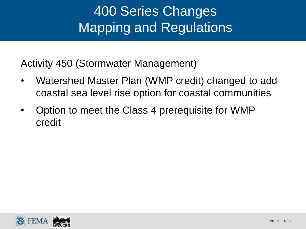## 400 Series Changes Mapping and Regulations

Activity 450 (Stormwater Management)

- Watershed Master Plan (WMP credit) changed to add coastal sea level rise option for coastal communities
- Option to meet the Class 4 prerequisite for WMP credit

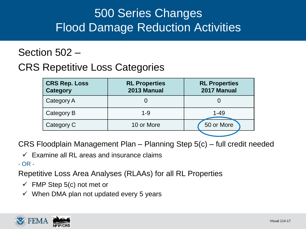### 500 Series Changes Flood Damage Reduction Activities

#### Section 502 –

#### CRS Repetitive Loss Categories

| <b>CRS Rep. Loss</b><br><b>Category</b> | <b>RL Properties</b><br>2013 Manual | <b>RL Properties</b><br>2017 Manual |  |
|-----------------------------------------|-------------------------------------|-------------------------------------|--|
| Category A                              |                                     |                                     |  |
| Category B                              | $1 - 9$                             | $1 - 49$                            |  |
| Category C                              | 10 or More                          | 50 or More                          |  |
|                                         |                                     |                                     |  |

CRS Floodplain Management Plan – Planning Step 5(c) – full credit needed

 $\checkmark$  Examine all RL areas and insurance claims

- OR -

Repetitive Loss Area Analyses (RLAAs) for all RL Properties

- $\checkmark$  FMP Step 5(c) not met or
- $\checkmark$  When DMA plan not updated every 5 years

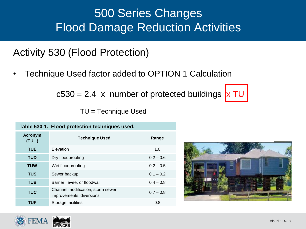### 500 Series Changes Flood Damage Reduction Activities

Activity 530 (Flood Protection)

• Technique Used factor added to OPTION 1 Calculation

 $c530 = 2.4$  x number of protected buildings  $x \text{ TU}$ 

TU = Technique Used

| Table 530-1. Flood protection techniques used. |                                                               |             |
|------------------------------------------------|---------------------------------------------------------------|-------------|
| <b>Acronym</b><br>$(TU_$ )                     | <b>Technique Used</b>                                         | Range       |
| <b>TUE</b>                                     | Elevation                                                     | 1.0         |
| <b>TUD</b>                                     | Dry floodproofing                                             | $0.2 - 0.6$ |
| <b>TUW</b>                                     | Wet floodproofing                                             | $0.2 - 0.5$ |
| <b>TUS</b>                                     | Sewer backup                                                  | $0.1 - 0.2$ |
| <b>TUB</b>                                     | Barrier, levee, or floodwall                                  | $0.4 - 0.8$ |
| <b>TUC</b>                                     | Channel modification, storm sewer<br>improvements, diversions | $0.7 - 0.8$ |
| TUF                                            | Storage facilities                                            | 0.8         |



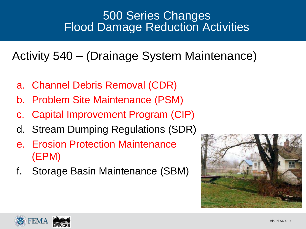#### 500 Series Changes Flood Damage Reduction Activities

Activity 540 – (Drainage System Maintenance)

- a. Channel Debris Removal (CDR)
- b. Problem Site Maintenance (PSM)
- c. Capital Improvement Program (CIP)
- d. Stream Dumping Regulations (SDR)
- e. Erosion Protection Maintenance (EPM)
- f. Storage Basin Maintenance (SBM)



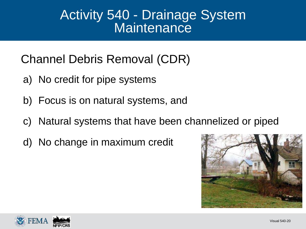### Activity 540 - Drainage System **Maintenance**

Channel Debris Removal (CDR)

- a) No credit for pipe systems
- b) Focus is on natural systems, and
- c) Natural systems that have been channelized or piped
- d) No change in maximum credit



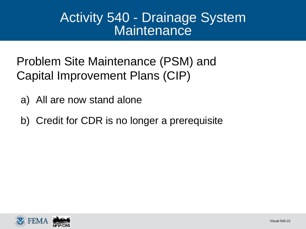### Activity 540 - Drainage System **Maintenance**

Problem Site Maintenance (PSM) and Capital Improvement Plans (CIP)

- a) All are now stand alone
- b) Credit for CDR is no longer a prerequisite

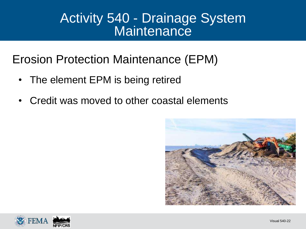### Activity 540 - Drainage System **Maintenance**

Erosion Protection Maintenance (EPM)

- The element EPM is being retired
- Credit was moved to other coastal elements



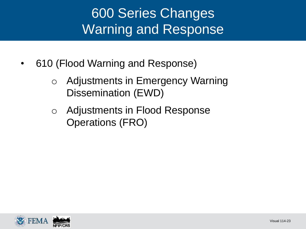## 600 Series Changes Warning and Response

- 610 (Flood Warning and Response)
	- o Adjustments in Emergency Warning Dissemination (EWD)
	- o Adjustments in Flood Response Operations (FRO)

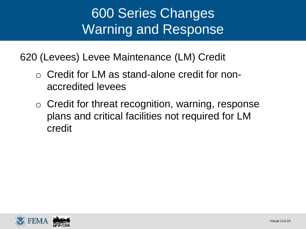## 600 Series Changes Warning and Response

620 (Levees) Levee Maintenance (LM) Credit

- o Credit for LM as stand-alone credit for nonaccredited levees
- o Credit for threat recognition, warning, response plans and critical facilities not required for LM credit

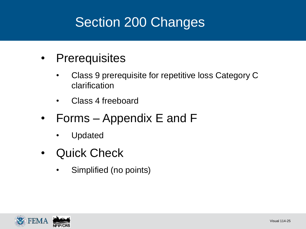# Section 200 Changes

- Prerequisites
	- Class 9 prerequisite for repetitive loss Category C clarification
	- Class 4 freeboard
- Forms Appendix E and F
	- Updated
- Quick Check
	- Simplified (no points)

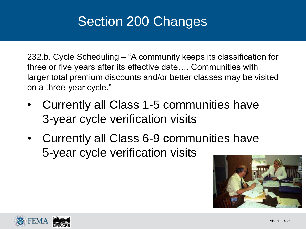# Section 200 Changes

232.b. Cycle Scheduling – "A community keeps its classification for three or five years after its effective date…. Communities with larger total premium discounts and/or better classes may be visited on a three-year cycle."

- Currently all Class 1-5 communities have 3-year cycle verification visits
- Currently all Class 6-9 communities have 5-year cycle verification visits



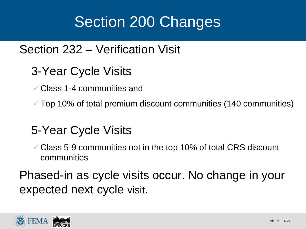# Section 200 Changes

#### Section 232 – Verification Visit

- 3-Year Cycle Visits
	- Class 1-4 communities and

 $\checkmark$  Top 10% of total premium discount communities (140 communities)

### 5-Year Cycle Visits

 Class 5-9 communities not in the top 10% of total CRS discount communities

Phased-in as cycle visits occur. No change in your expected next cycle visit.

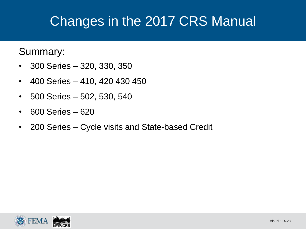#### Summary:

- 300 Series 320, 330, 350
- 400 Series 410, 420 430 450
- 500 Series 502, 530, 540
- 600 Series 620
- 200 Series Cycle visits and State-based Credit

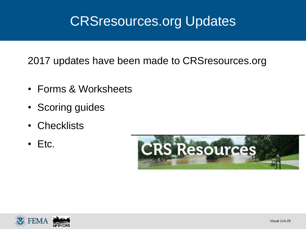### CRSresources.org Updates

2017 updates have been made to CRSresources.org

- Forms & Worksheets
- Scoring guides
- Checklists
- Etc.



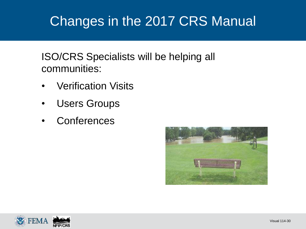ISO/CRS Specialists will be helping all communities:

- Verification Visits
- Users Groups
- Conferences



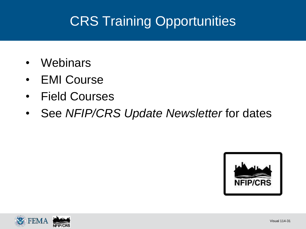# CRS Training Opportunities

- Webinars
- EMI Course
- Field Courses
- See *NFIP/CRS Update Newsletter* for dates



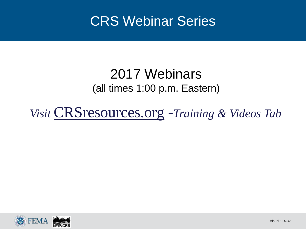### CRS Webinar Series

#### 2017 Webinars (all times 1:00 p.m. Eastern)

*Visit* CRSresources.org -*Training & Videos Tab*

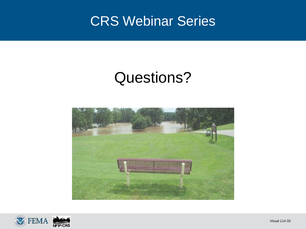### CRS Webinar Series

# Questions?